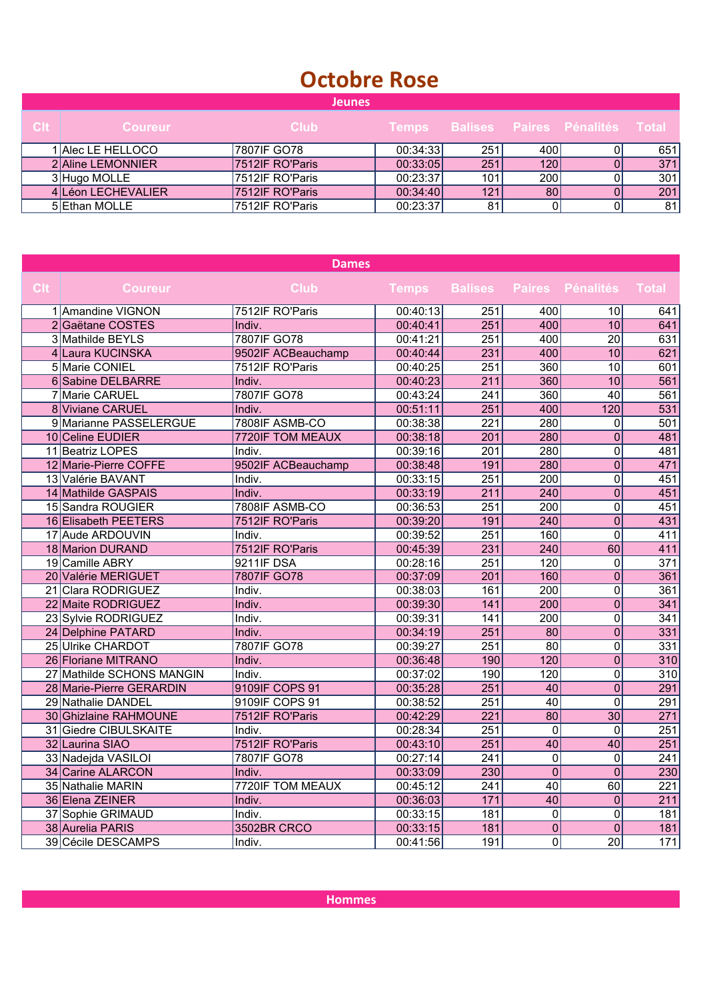## **Octobre Rose**

1 Alec LE HELLOCO **12 Alec LE HELLOCO** 7807IF GO78 100:34:33 251 400 0 651<br>1 Aline LEMONNIER 2 2512 251 251 251 00:33:05 251 120 0 371 2 Aline LEMONNIER 2012 2012 2013 251 251 271 272 271 271 271 271 272 272 273 274 275121F RO'Paris 200 23:05 251 270 270 271 270 271 270 271 270 271 270 271 270 271 270 271 270 271 270 271 270 271 270 271 270 271 270 270 27 2 101 1020 0 301 7512IF RO'Paris 100:23:37 101 200 0 301<br>121 121 80 0 201 4 Léon LECHEVALIER 7512IF RO'Paris 00:34:40 121 80 0 201 7512IF RO'Paris 1990.23:37 81 0 0 81 **Jeunes**

| <b>Dames</b> |                           |                         |              |                  |                           |                                       |                  |  |  |  |  |
|--------------|---------------------------|-------------------------|--------------|------------------|---------------------------|---------------------------------------|------------------|--|--|--|--|
| <b>Clt</b>   | <b>Coureur</b>            | <b>Club</b>             | <b>Temps</b> |                  |                           | <b>Balises Paires Pénalités Total</b> |                  |  |  |  |  |
|              | 1 Amandine VIGNON         | 7512IF RO'Paris         | 00:40:13     | 251              | 400                       | 10 <sup>1</sup>                       | 641              |  |  |  |  |
|              | 2 Gaëtane COSTES          | Indiv.                  | 00:40:41     | $\overline{251}$ | 400                       | $\overline{10}$                       | 641              |  |  |  |  |
|              | 3 Mathilde BEYLS          | 7807IF GO78             | 00:41:21     | 251              | 400                       | $\overline{20}$                       | 631              |  |  |  |  |
|              | 4 Laura KUCINSKA          | 9502IF ACBeauchamp      | 00:40:44     | 231              | 400                       | $\overline{10}$                       | 621              |  |  |  |  |
|              | 5 Marie CONIEL            | 7512IF RO'Paris         | 00:40:25     | $\overline{251}$ | 360                       | $\overline{10}$                       | 601              |  |  |  |  |
|              | 6 Sabine DELBARRE         | Indiv.                  | 00:40:23     | $\overline{211}$ | 360                       | $\overline{10}$                       | 561              |  |  |  |  |
|              | 7 Marie CARUEL            | 7807IF GO78             | 00:43:24     | 241              | 360                       | $\overline{40}$                       | 561              |  |  |  |  |
|              | 8 Viviane CARUEL          | Indiv.                  | 00:51:11     | 251              | 400                       | 120                                   | 531              |  |  |  |  |
|              | 9 Marianne PASSELERGUE    | 7808IF ASMB-CO          | 00:38:38     | $\overline{221}$ | 280                       | $\mathbf{0}$                          | 501              |  |  |  |  |
|              | 10 Celine EUDIER          | 7720IF TOM MEAUX        | 00:38:18     | $\overline{201}$ | 280                       | $\overline{0}$                        | 481              |  |  |  |  |
|              | 11 Beatriz LOPES          | Indiv.                  | 00:39:16     | $\overline{201}$ | 280                       | $\mathbf 0$                           | 481              |  |  |  |  |
|              | 12 Marie-Pierre COFFE     | 9502IF ACBeauchamp      | 00:38:48     | 191              | 280                       | $\overline{0}$                        | 471              |  |  |  |  |
|              | 13 Valérie BAVANT         | Indiv.                  | 00:33:15     | 251              | $\overline{200}$          | $\overline{0}$                        | 451              |  |  |  |  |
|              | 14 Mathilde GASPAIS       | Indiv.                  | 00:33:19     | $\overline{211}$ | $\overline{240}$          | $\overline{0}$                        | 451              |  |  |  |  |
|              | 15 Sandra ROUGIER         | 7808IF ASMB-CO          | 00:36:53     | $\overline{251}$ | $\overline{200}$          | $\mathbf 0$                           | 451              |  |  |  |  |
|              | 16 Elisabeth PEETERS      | 7512IF RO'Paris         | 00:39:20     | 191              | $\overline{240}$          | $\overline{0}$                        | 431              |  |  |  |  |
|              | 17 Aude ARDOUVIN          | Indiv.                  | 00:39:52     | 251              | 160                       | $\overline{0}$                        | 411              |  |  |  |  |
|              | 18 Marion DURAND          | 7512IF RO'Paris         | 00:45:39     | 231              | $\overline{240}$          | $\overline{60}$                       | 411              |  |  |  |  |
|              | 19 Camille ABRY           | 9211IF DSA              | 00:28:16     | $\overline{251}$ | 120                       | $\mathbf 0$                           | $\overline{371}$ |  |  |  |  |
|              | 20 Valérie MERIGUET       | 7807IF GO78             | 00:37:09     | $\overline{201}$ | 160                       | $\overline{0}$                        | 361              |  |  |  |  |
|              | 21 Clara RODRIGUEZ        | Indiv.                  | 00:38:03     | 161              | $\overline{200}$          | $\overline{0}$                        | 361              |  |  |  |  |
|              | 22 Maite RODRIGUEZ        | Indiv.                  | 00:39:30     | 141              | $\overline{200}$          | $\overline{0}$                        | $\overline{341}$ |  |  |  |  |
|              | 23 Sylvie RODRIGUEZ       | Indiv.                  | 00:39:31     | 141              | $\overline{200}$          | $\mathbf 0$                           | 341              |  |  |  |  |
|              | 24 Delphine PATARD        | Indiv.                  | 00:34:19     | 251              | 80                        | $\overline{0}$                        | 331              |  |  |  |  |
|              | 25 Ulrike CHARDOT         | 7807IF GO78             | 00:39:27     | 251              | $\overline{80}$           | $\mathbf 0$                           | 331              |  |  |  |  |
|              | 26 Floriane MITRANO       | Indiv.                  | 00:36:48     | 190              | 120                       | $\overline{0}$                        | $\overline{310}$ |  |  |  |  |
|              | 27 Mathilde SCHONS MANGIN | Indiv.                  | 00:37:02     | 190              | 120                       | $\mathbf 0$                           | 310              |  |  |  |  |
|              | 28 Marie-Pierre GERARDIN  | 9109IF COPS 91          | 00:35:28     | 251              | $\overline{40}$           | $\overline{0}$                        | 291              |  |  |  |  |
|              | 29 Nathalie DANDEL        | 9109IF COPS 91          | 00:38:52     | 251              | $\overline{40}$           | $\overline{0}$                        | 291              |  |  |  |  |
|              | 30 Ghizlaine RAHMOUNE     | 7512IF RO'Paris         | 00:42:29     | $\overline{221}$ | 80                        | $\overline{30}$                       | $\overline{271}$ |  |  |  |  |
|              | 31 Giedre CIBULSKAITE     | Indiv.                  | 00:28:34     | 251              | $\mathbf 0$               | $\mathbf 0$                           | 251              |  |  |  |  |
|              | 32 Laurina SIAO           | 7512IF RO'Paris         | 00:43:10     | 251              | 40                        | $\overline{40}$                       | 251              |  |  |  |  |
|              | 33 Nadejda VASILOI        | 7807IF GO78             | 00:27:14     | $\overline{241}$ | $\mathbf 0$               | $\mathbf{0}$                          | $\overline{241}$ |  |  |  |  |
|              | 34 Carine ALARCON         | Indiv.                  | 00:33:09     | $\overline{230}$ | $\overline{\mathfrak{o}}$ | $\overline{0}$                        | 230              |  |  |  |  |
|              | 35 Nathalie MARIN         | <b>7720IF TOM MEAUX</b> | 00:45:12     | $\overline{241}$ | $\overline{40}$           | $\overline{60}$                       | 221              |  |  |  |  |
|              | 36 Elena ZEINER           | Indiv.                  | 00:36:03     | $\overline{171}$ | $\overline{40}$           | $\mathbf 0$                           | $\overline{211}$ |  |  |  |  |
|              | 37 Sophie GRIMAUD         | Indiv.                  | 00:33:15     | 181              | $\overline{0}$            | 0                                     | 181              |  |  |  |  |
|              | 38 Aurelia PARIS          | 3502BR CRCO             | 00:33:15     | 181              | $\pmb{0}$                 | $\mathbf 0$                           | $\overline{181}$ |  |  |  |  |
|              | 39 Cécile DESCAMPS        | Indiv.                  | 00:41:56     | 191              | $\overline{0}$            | $\overline{20}$                       | 171              |  |  |  |  |